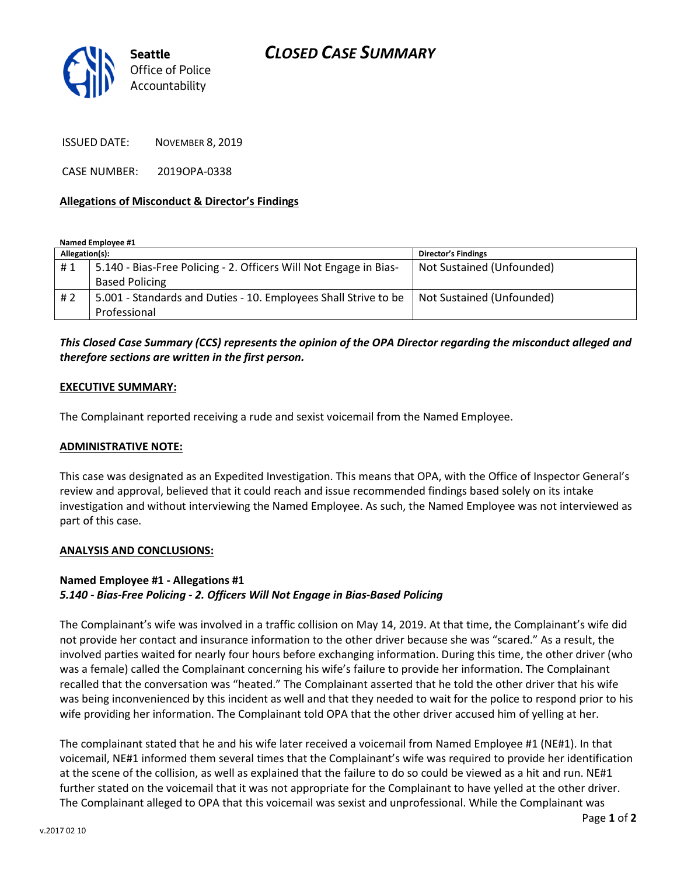# CLOSED CASE SUMMARY



ISSUED DATE: NOVEMBER 8, 2019

CASE NUMBER: 2019OPA-0338

### Allegations of Misconduct & Director's Findings

Named Employee #1

| Allegation(s): |                                                                   | <b>Director's Findings</b> |
|----------------|-------------------------------------------------------------------|----------------------------|
| #1             | 5.140 - Bias-Free Policing - 2. Officers Will Not Engage in Bias- | Not Sustained (Unfounded)  |
|                | <b>Based Policing</b>                                             |                            |
| #2             | 5.001 - Standards and Duties - 10. Employees Shall Strive to be   | Not Sustained (Unfounded)  |
|                | Professional                                                      |                            |

## This Closed Case Summary (CCS) represents the opinion of the OPA Director regarding the misconduct alleged and therefore sections are written in the first person.

#### EXECUTIVE SUMMARY:

The Complainant reported receiving a rude and sexist voicemail from the Named Employee.

#### ADMINISTRATIVE NOTE:

This case was designated as an Expedited Investigation. This means that OPA, with the Office of Inspector General's review and approval, believed that it could reach and issue recommended findings based solely on its intake investigation and without interviewing the Named Employee. As such, the Named Employee was not interviewed as part of this case.

#### ANALYSIS AND CONCLUSIONS:

#### Named Employee #1 - Allegations #1 5.140 - Bias-Free Policing - 2. Officers Will Not Engage in Bias-Based Policing

The Complainant's wife was involved in a traffic collision on May 14, 2019. At that time, the Complainant's wife did not provide her contact and insurance information to the other driver because she was "scared." As a result, the involved parties waited for nearly four hours before exchanging information. During this time, the other driver (who was a female) called the Complainant concerning his wife's failure to provide her information. The Complainant recalled that the conversation was "heated." The Complainant asserted that he told the other driver that his wife was being inconvenienced by this incident as well and that they needed to wait for the police to respond prior to his wife providing her information. The Complainant told OPA that the other driver accused him of yelling at her.

The complainant stated that he and his wife later received a voicemail from Named Employee #1 (NE#1). In that voicemail, NE#1 informed them several times that the Complainant's wife was required to provide her identification at the scene of the collision, as well as explained that the failure to do so could be viewed as a hit and run. NE#1 further stated on the voicemail that it was not appropriate for the Complainant to have yelled at the other driver. The Complainant alleged to OPA that this voicemail was sexist and unprofessional. While the Complainant was